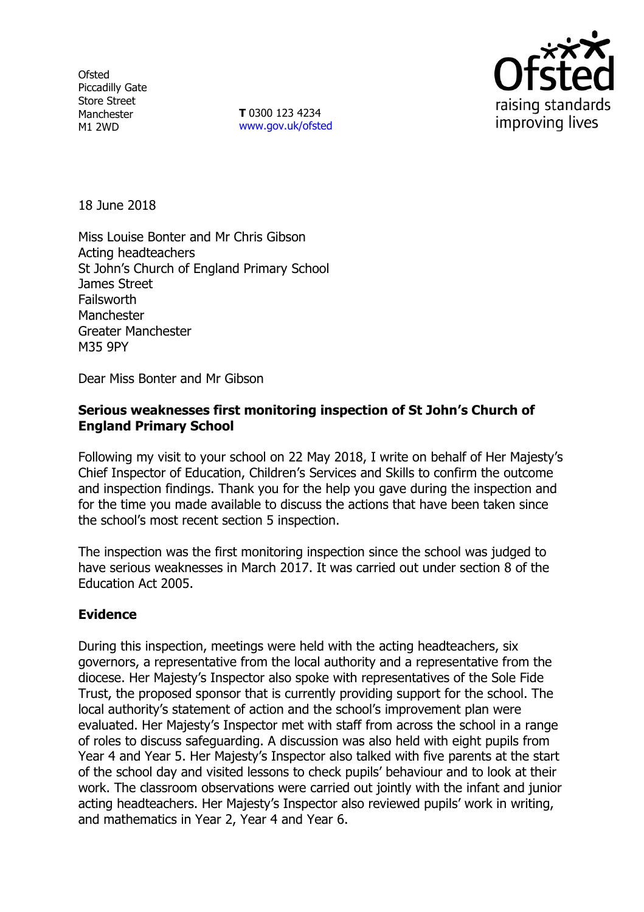**Ofsted** Piccadilly Gate Store Street Manchester M1 2WD

**T** 0300 123 4234 www.gov.uk/ofsted



18 June 2018

Miss Louise Bonter and Mr Chris Gibson Acting headteachers St John's Church of England Primary School James Street **Failsworth** Manchester Greater Manchester M35 9PY

Dear Miss Bonter and Mr Gibson

## **Serious weaknesses first monitoring inspection of St John's Church of England Primary School**

Following my visit to your school on 22 May 2018, I write on behalf of Her Majesty's Chief Inspector of Education, Children's Services and Skills to confirm the outcome and inspection findings. Thank you for the help you gave during the inspection and for the time you made available to discuss the actions that have been taken since the school's most recent section 5 inspection.

The inspection was the first monitoring inspection since the school was judged to have serious weaknesses in March 2017. It was carried out under section 8 of the Education Act 2005.

## **Evidence**

During this inspection, meetings were held with the acting headteachers, six governors, a representative from the local authority and a representative from the diocese. Her Majesty's Inspector also spoke with representatives of the Sole Fide Trust, the proposed sponsor that is currently providing support for the school. The local authority's statement of action and the school's improvement plan were evaluated. Her Majesty's Inspector met with staff from across the school in a range of roles to discuss safeguarding. A discussion was also held with eight pupils from Year 4 and Year 5. Her Majesty's Inspector also talked with five parents at the start of the school day and visited lessons to check pupils' behaviour and to look at their work. The classroom observations were carried out jointly with the infant and junior acting headteachers. Her Majesty's Inspector also reviewed pupils' work in writing, and mathematics in Year 2, Year 4 and Year 6.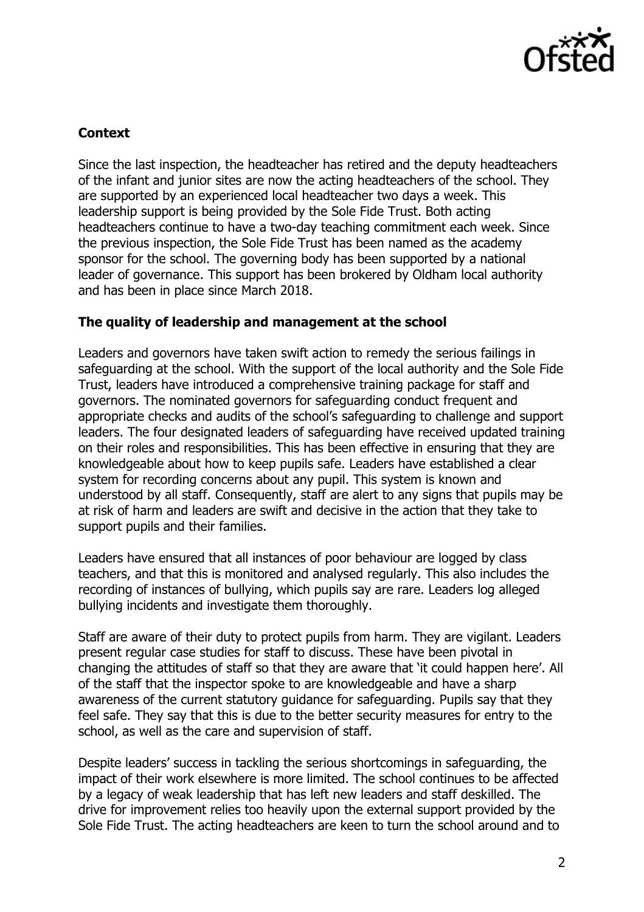

# **Context**

Since the last inspection, the headteacher has retired and the deputy headteachers of the infant and junior sites are now the acting headteachers of the school. They are supported by an experienced local headteacher two days a week. This leadership support is being provided by the Sole Fide Trust. Both acting headteachers continue to have a two-day teaching commitment each week. Since the previous inspection, the Sole Fide Trust has been named as the academy sponsor for the school. The governing body has been supported by a national leader of governance. This support has been brokered by Oldham local authority and has been in place since March 2018.

### **The quality of leadership and management at the school**

Leaders and governors have taken swift action to remedy the serious failings in safeguarding at the school. With the support of the local authority and the Sole Fide Trust, leaders have introduced a comprehensive training package for staff and governors. The nominated governors for safeguarding conduct frequent and appropriate checks and audits of the school's safeguarding to challenge and support leaders. The four designated leaders of safeguarding have received updated training on their roles and responsibilities. This has been effective in ensuring that they are knowledgeable about how to keep pupils safe. Leaders have established a clear system for recording concerns about any pupil. This system is known and understood by all staff. Consequently, staff are alert to any signs that pupils may be at risk of harm and leaders are swift and decisive in the action that they take to support pupils and their families.

Leaders have ensured that all instances of poor behaviour are logged by class teachers, and that this is monitored and analysed regularly. This also includes the recording of instances of bullying, which pupils say are rare. Leaders log alleged bullying incidents and investigate them thoroughly.

Staff are aware of their duty to protect pupils from harm. They are vigilant. Leaders present regular case studies for staff to discuss. These have been pivotal in changing the attitudes of staff so that they are aware that 'it could happen here'. All of the staff that the inspector spoke to are knowledgeable and have a sharp awareness of the current statutory guidance for safeguarding. Pupils say that they feel safe. They say that this is due to the better security measures for entry to the school, as well as the care and supervision of staff.

Despite leaders' success in tackling the serious shortcomings in safeguarding, the impact of their work elsewhere is more limited. The school continues to be affected by a legacy of weak leadership that has left new leaders and staff deskilled. The drive for improvement relies too heavily upon the external support provided by the Sole Fide Trust. The acting headteachers are keen to turn the school around and to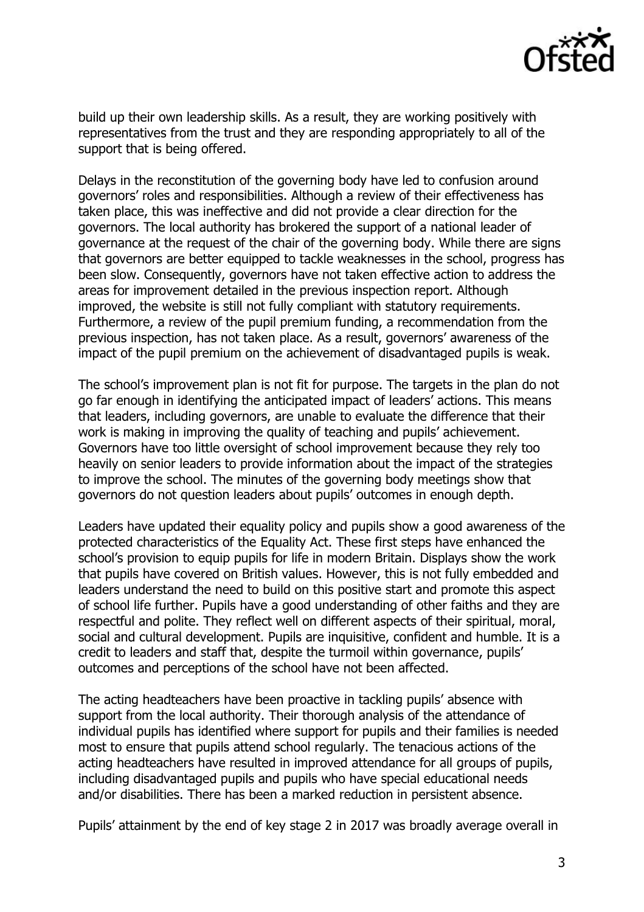

build up their own leadership skills. As a result, they are working positively with representatives from the trust and they are responding appropriately to all of the support that is being offered.

Delays in the reconstitution of the governing body have led to confusion around governors' roles and responsibilities. Although a review of their effectiveness has taken place, this was ineffective and did not provide a clear direction for the governors. The local authority has brokered the support of a national leader of governance at the request of the chair of the governing body. While there are signs that governors are better equipped to tackle weaknesses in the school, progress has been slow. Consequently, governors have not taken effective action to address the areas for improvement detailed in the previous inspection report. Although improved, the website is still not fully compliant with statutory requirements. Furthermore, a review of the pupil premium funding, a recommendation from the previous inspection, has not taken place. As a result, governors' awareness of the impact of the pupil premium on the achievement of disadvantaged pupils is weak.

The school's improvement plan is not fit for purpose. The targets in the plan do not go far enough in identifying the anticipated impact of leaders' actions. This means that leaders, including governors, are unable to evaluate the difference that their work is making in improving the quality of teaching and pupils' achievement. Governors have too little oversight of school improvement because they rely too heavily on senior leaders to provide information about the impact of the strategies to improve the school. The minutes of the governing body meetings show that governors do not question leaders about pupils' outcomes in enough depth.

Leaders have updated their equality policy and pupils show a good awareness of the protected characteristics of the Equality Act. These first steps have enhanced the school's provision to equip pupils for life in modern Britain. Displays show the work that pupils have covered on British values. However, this is not fully embedded and leaders understand the need to build on this positive start and promote this aspect of school life further. Pupils have a good understanding of other faiths and they are respectful and polite. They reflect well on different aspects of their spiritual, moral, social and cultural development. Pupils are inquisitive, confident and humble. It is a credit to leaders and staff that, despite the turmoil within governance, pupils' outcomes and perceptions of the school have not been affected.

The acting headteachers have been proactive in tackling pupils' absence with support from the local authority. Their thorough analysis of the attendance of individual pupils has identified where support for pupils and their families is needed most to ensure that pupils attend school regularly. The tenacious actions of the acting headteachers have resulted in improved attendance for all groups of pupils, including disadvantaged pupils and pupils who have special educational needs and/or disabilities. There has been a marked reduction in persistent absence.

Pupils' attainment by the end of key stage 2 in 2017 was broadly average overall in